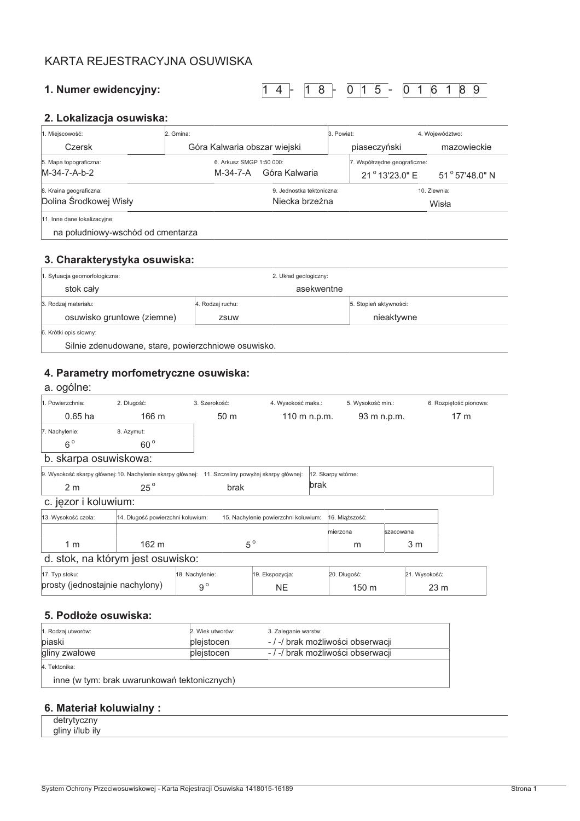# KARTA REJESTRACYJNA OSUWISKA

### 1. Numer ewidencyjny:

 $14 - 18 - 015 - 016189$ 

## 2. Lokalizacja osuwiska:

| 1. Miejscowość:                                                   | 2. Gmina:                                             |                                             |  | 3. Powiat:                                                               |                       | 4. Województwo: |
|-------------------------------------------------------------------|-------------------------------------------------------|---------------------------------------------|--|--------------------------------------------------------------------------|-----------------------|-----------------|
| Czersk                                                            | Góra Kalwaria obszar wiejski                          |                                             |  | piaseczyński                                                             | mazowieckie           |                 |
| 5. Mapa topograficzna:<br>M-34-7-A-b-2                            | 6. Arkusz SMGP 1:50 000:<br>Góra Kalwaria<br>M-34-7-A |                                             |  | 7. Współrzędne geograficzne:<br>21° 13'23.0" E<br>$51^{\circ}57'48.0"$ N |                       |                 |
| 8. Kraina geograficzna:<br>Dolina Środkowej Wisły                 |                                                       | 9. Jednostka tektoniczna:<br>Niecka brzeżna |  |                                                                          | 10. Zlewnia:<br>Wisła |                 |
| 11. Inne dane lokalizacyjne:<br>na południowy-wschód od cmentarza |                                                       |                                             |  |                                                                          |                       |                 |

#### 3. Charakterystyka osuwiska:

| 1. Sytuacja geomorfologiczna:                    |                  | 2. Układ geologiczny: |                        |
|--------------------------------------------------|------------------|-----------------------|------------------------|
| stok cały                                        |                  | asekwentne            |                        |
| 3. Rodzaj materiału:                             | 4. Rodzaj ruchu: |                       | 5. Stopień aktywności: |
| osuwisko gruntowe (ziemne)                       | zsuw             |                       | nieaktywne             |
| 6. Krótki opis słowny:                           |                  |                       |                        |
| Silnie zdenudowane stare nowierzchniowe osuwisko |                  |                       |                        |

Silnie zdenudowane, stare, powierzchniowe osuwisko.

# 4. Parametry morfometryczne osuwiska:

## a. ogólne:

| Powierzchnia:                    | 2. Długość:                | l. Szerokość:   | 4. Wysokość maks.: | 5. Wysokość min.: | 6. Rozpiętość pionowa: |
|----------------------------------|----------------------------|-----------------|--------------------|-------------------|------------------------|
| $0.65$ ha                        | 166 m                      | 50 <sub>m</sub> | 110 m n.p.m.       | 93 m n.p.m.       | 17 m                   |
| 7. Nachylenie:<br>6 <sup>c</sup> | 8. Azymut:<br>$60^{\circ}$ |                 |                    |                   |                        |

#### b. skarpa osuwiskowa:

|     | 9. Wysokość skarpy głównej: 10. Nachylenie skarpy głównej: 11. Szczeliny powyżej skarpy głównej: 12. Skarpy wtórne: |      |
|-----|---------------------------------------------------------------------------------------------------------------------|------|
| 2 m | brak                                                                                                                | brak |

# c. jęzor i koluwium:

| 13. Wysokość czoła:               | 14. Długość powierzchni koluwium: | 15. Nachylenie powierzchni koluwium: | 16. Miaższość: |           |  |
|-----------------------------------|-----------------------------------|--------------------------------------|----------------|-----------|--|
|                                   |                                   |                                      | mierzona       | szacowana |  |
| 1 m                               | $162 \text{ m}$                   | $5^{\circ}$                          | m              | 3 m       |  |
| d. stok, na którym jest osuwisko: |                                   |                                      |                |           |  |

| 17. Typ stoku:                  | 18. Nachylenie: | 19. Ekspozycja: | 20. Długość: | 21. Wysokość:   |
|---------------------------------|-----------------|-----------------|--------------|-----------------|
| prosty (jednostajnie nachylony) |                 | NΕ              | 150 m        | 23 <sub>m</sub> |

# 5. Podłoże osuwiska:

| 1. Rodzaj utworów:                           | 2. Wiek utworów: | 3. Zaleganie warstw:              |
|----------------------------------------------|------------------|-----------------------------------|
| piaski                                       | pleistocen       | - / -/ brak możliwości obserwacji |
| gliny zwałowe                                | pleistocen       | -/-/ brak możliwości obserwacji   |
| 4. Tektonika:                                |                  |                                   |
| inne (w tym: brak uwarunkowań tektonicznych) |                  |                                   |

### 6. Materiał koluwialny:

detrytyczny gliny i/lub iły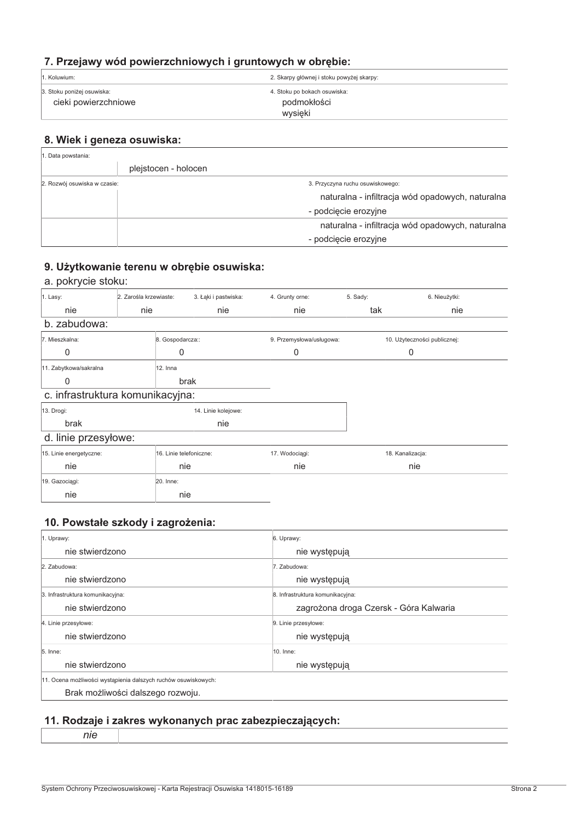# 7. Przejawy wód powierzchniowych i gruntowych w obrębie:

| 1. Koluwium:               | 2. Skarpy głównej i stoku powyżej skarpy: |
|----------------------------|-------------------------------------------|
| 3. Stoku poniżej osuwiska: | 4. Stoku po bokach osuwiska:              |
| cieki powierzchniowe       | podmokłości                               |
|                            | wysięki                                   |

## 8. Wiek i geneza osuwiska:

| . Data powstania:            |                      |                                                                                                              |
|------------------------------|----------------------|--------------------------------------------------------------------------------------------------------------|
|                              | plejstocen - holocen |                                                                                                              |
| 2. Rozwój osuwiska w czasie: |                      | 3. Przyczyna ruchu osuwiskowego:<br>naturalna - infiltracja wód opadowych, naturalna<br>- podcięcie erozyjne |
|                              |                      | naturalna - infiltracja wód opadowych, naturalna<br>- podcięcie erozyjne                                     |

## 9. Użytkowanie terenu w obrębie osuwiska:

## a. pokrycie stoku:

| $1.$ Lasy:      | . Zarośla krzewiaste: | 3. Łaki i pastwiska: | 4. Grunty orne: | 5. Sady: | . Nieużvtki: |
|-----------------|-----------------------|----------------------|-----------------|----------|--------------|
| nie             | nie                   | nie                  | nie             | tak      | nie          |
| zabudowa:<br>h. |                       |                      |                 |          |              |

| 7. Mieszkalna:                  | 8. Gospodarcza:: | 9. Przemysłowa/usługowa: | 10. Użyteczności publicznej: |
|---------------------------------|------------------|--------------------------|------------------------------|
|                                 |                  |                          |                              |
| 11. Zabytkowa/sakralna          | 12. Inna         |                          |                              |
|                                 | brak             |                          |                              |
| e infractruktura komunikaovina: |                  |                          |                              |

#### c. infrastruktura komunikacyjna:

| A<br>1 |
|--------|
|        |

14. Linie kolejowe: nie

## d. linie przesyłowe:

brak

13. Drogi:

| -                       |                         |                |                  |
|-------------------------|-------------------------|----------------|------------------|
| 15. Linie energetyczne: | 16. Linie telefoniczne: | 17. Wodociągi: | 18. Kanalizacja: |
| nie                     | nie                     | nie            | nie              |
| 19. Gazociagi:          | 20. Inne:               |                |                  |
| nie                     | nie                     |                |                  |

## 10. Powstałe szkody i zagrożenia:

| 1. Uprawy:                                                     | 6. Uprawy:                             |
|----------------------------------------------------------------|----------------------------------------|
| nie stwierdzono                                                | nie występują                          |
| 2. Zabudowa:                                                   | 7. Zabudowa:                           |
| nie stwierdzono                                                | nie występują                          |
| 3. Infrastruktura komunikacyjna:                               | 8. Infrastruktura komunikacyjna:       |
| nie stwierdzono                                                | zagrożona droga Czersk - Góra Kalwaria |
| 4. Linie przesyłowe:                                           | 9. Linie przesyłowe:                   |
| nie stwierdzono                                                | nie występują                          |
| 5. Inne:                                                       | 10. Inne:                              |
| nie stwierdzono                                                | nie występują                          |
| 11. Ocena możliwości wystąpienia dalszych ruchów osuwiskowych: |                                        |
| Brak możliwości dalszego rozwoju.                              |                                        |

# 11. Rodzaje i zakres wykonanych prac zabezpieczających:

System Ochrony Przeciwosuwiskowej - Karta Rejestracji Osuwiska 1418015-16189